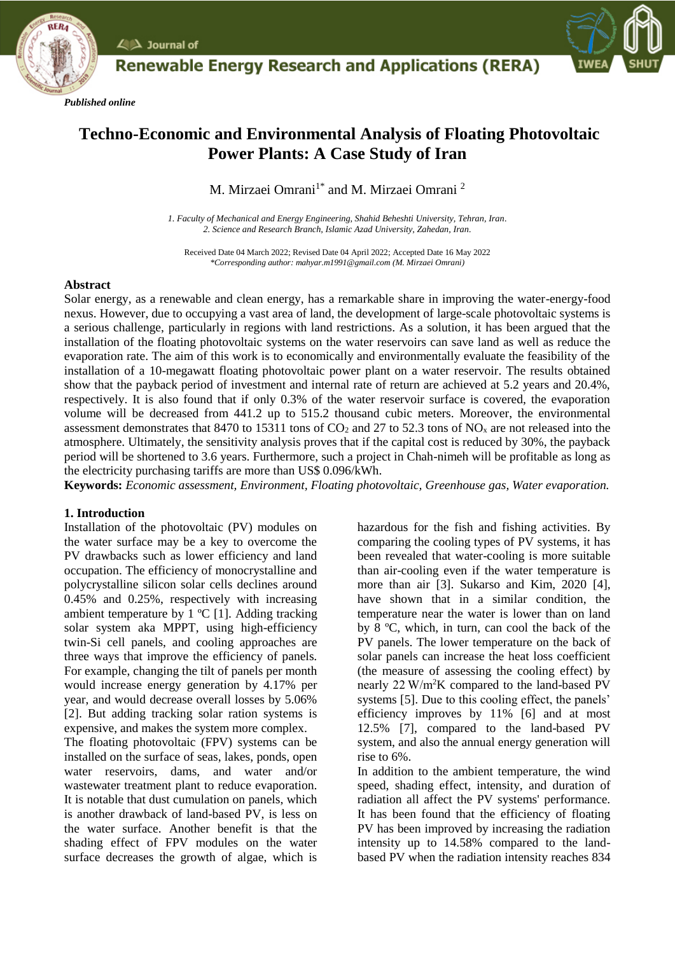$\angle$   $\triangle$  Journal of

*Published online*



# **Techno-Economic and Environmental Analysis of Floating Photovoltaic Power Plants: A Case Study of Iran**

**Renewable Energy Research and Applications (RERA)** 

M. Mirzaei Omrani $^{\rm 1*}$  and M. Mirzaei Omrani $^{\rm 2}$ 

*1. Faculty of Mechanical and Energy Engineering, Shahid Beheshti University, Tehran, Iran. 2. Science and Research Branch, Islamic Azad University, Zahedan, Iran.*

Received Date 04 March 2022; Revised Date 04 April 2022; Accepted Date 16 May 2022 *\*Corresponding author: mahyar.m1991@gmail.com (M. Mirzaei Omrani)*

#### **Abstract**

Solar energy, as a renewable and clean energy, has a remarkable share in improving the water-energy-food nexus. However, due to occupying a vast area of land, the development of large-scale photovoltaic systems is a serious challenge, particularly in regions with land restrictions. As a solution, it has been argued that the installation of the floating photovoltaic systems on the water reservoirs can save land as well as reduce the evaporation rate. The aim of this work is to economically and environmentally evaluate the feasibility of the installation of a 10-megawatt floating photovoltaic power plant on a water reservoir. The results obtained show that the payback period of investment and internal rate of return are achieved at 5.2 years and 20.4%, respectively. It is also found that if only 0.3% of the water reservoir surface is covered, the evaporation volume will be decreased from 441.2 up to 515.2 thousand cubic meters. Moreover, the environmental assessment demonstrates that 8470 to 15311 tons of  $CO_2$  and 27 to 52.3 tons of NO<sub>x</sub> are not released into the atmosphere. Ultimately, the sensitivity analysis proves that if the capital cost is reduced by 30%, the payback period will be shortened to 3.6 years. Furthermore, such a project in Chah-nimeh will be profitable as long as the electricity purchasing tariffs are more than US\$ 0.096/kWh.

**Keywords:** *Economic assessment, Environment, Floating photovoltaic, Greenhouse gas, Water evaporation.*

## **1. Introduction**

Installation of the photovoltaic (PV) modules on the water surface may be a key to overcome the PV drawbacks such as lower efficiency and land occupation. The efficiency of monocrystalline and polycrystalline silicon solar cells declines around 0.45% and 0.25%, respectively with increasing ambient temperature by  $1 \text{ }^{\circ}C$  [1]. Adding tracking solar system aka MPPT, using high-efficiency twin-Si cell panels, and cooling approaches are three ways that improve the efficiency of panels. For example, changing the tilt of panels per month would increase energy generation by 4.17% per year, and would decrease overall losses by 5.06% [2]. But adding tracking solar ration systems is expensive, and makes the system more complex.

The floating photovoltaic (FPV) systems can be installed on the surface of seas, lakes, ponds, open water reservoirs, dams, and water and/or wastewater treatment plant to reduce evaporation. It is notable that dust cumulation on panels, which is another drawback of land-based PV, is less on the water surface. Another benefit is that the shading effect of FPV modules on the water surface decreases the growth of algae, which is hazardous for the fish and fishing activities. By comparing the cooling types of PV systems, it has been revealed that water-cooling is more suitable than air-cooling even if the water temperature is more than air [3]. Sukarso and Kim, 2020 [4], have shown that in a similar condition, the temperature near the water is lower than on land by 8 ºC, which, in turn, can cool the back of the PV panels. The lower temperature on the back of solar panels can increase the heat loss coefficient (the measure of assessing the cooling effect) by nearly 22 W/m<sup>2</sup>K compared to the land-based PV systems [5]. Due to this cooling effect, the panels' efficiency improves by 11% [6] and at most 12.5% [7], compared to the land-based PV system, and also the annual energy generation will rise to 6%.

In addition to the ambient temperature, the wind speed, shading effect, intensity, and duration of radiation all affect the PV systems' performance. It has been found that the efficiency of floating PV has been improved by increasing the radiation intensity up to 14.58% compared to the landbased PV when the radiation intensity reaches 834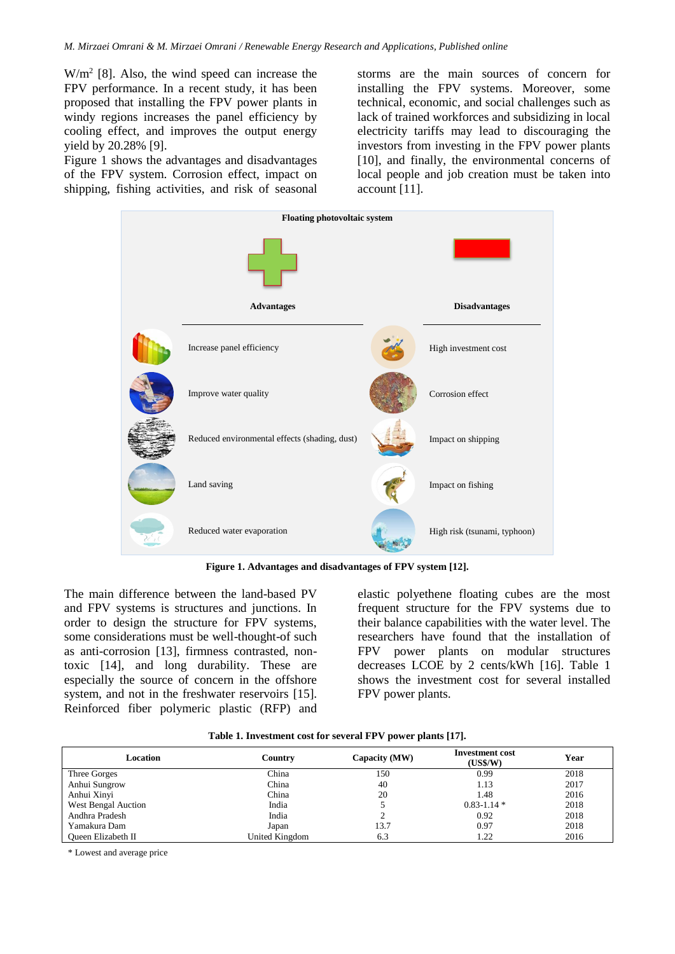$W/m<sup>2</sup>$  [8]. Also, the wind speed can increase the FPV performance. In a recent study, it has been proposed that installing the FPV power plants in windy regions increases the panel efficiency by cooling effect, and improves the output energy yield by 20.28% [9].

Figure 1 shows the advantages and disadvantages of the FPV system. Corrosion effect, impact on shipping, fishing activities, and risk of seasonal storms are the main sources of concern for installing the FPV systems. Moreover, some technical, economic, and social challenges such as lack of trained workforces and subsidizing in local electricity tariffs may lead to discouraging the investors from investing in the FPV power plants [10], and finally, the environmental concerns of local people and job creation must be taken into account [11].



**Figure 1. Advantages and disadvantages of FPV system [12].**

The main difference between the land-based PV and FPV systems is structures and junctions. In order to design the structure for FPV systems, some considerations must be well-thought-of such as anti-corrosion [13], firmness contrasted, nontoxic [14], and long durability. These are especially the source of concern in the offshore system, and not in the freshwater reservoirs [15]. Reinforced fiber polymeric plastic (RFP) and

elastic polyethene floating cubes are the most frequent structure for the FPV systems due to their balance capabilities with the water level. The researchers have found that the installation of FPV power plants on modular structures decreases LCOE by 2 cents/kWh [16]. Table 1 shows the investment cost for several installed FPV power plants.

| Location            | Country        | Capacity (MW) | <b>Investment</b> cost<br>(US\$/W) | Year |
|---------------------|----------------|---------------|------------------------------------|------|
| Three Gorges        | China          | 150           | 0.99                               | 2018 |
| Anhui Sungrow       | China          | 40            | 1.13                               | 2017 |
| Anhui Xinyi         | China          | 20            | 1.48                               | 2016 |
| West Bengal Auction | India          |               | $0.83 - 1.14$ *                    | 2018 |
| Andhra Pradesh      | India          |               | 0.92                               | 2018 |
| Yamakura Dam        | Japan          | 13.7          | 0.97                               | 2018 |
| Oueen Elizabeth II  | United Kingdom | 6.3           | 1.22                               | 2016 |

**Table 1. Investment cost for several FPV power plants [17].**

\* Lowest and average price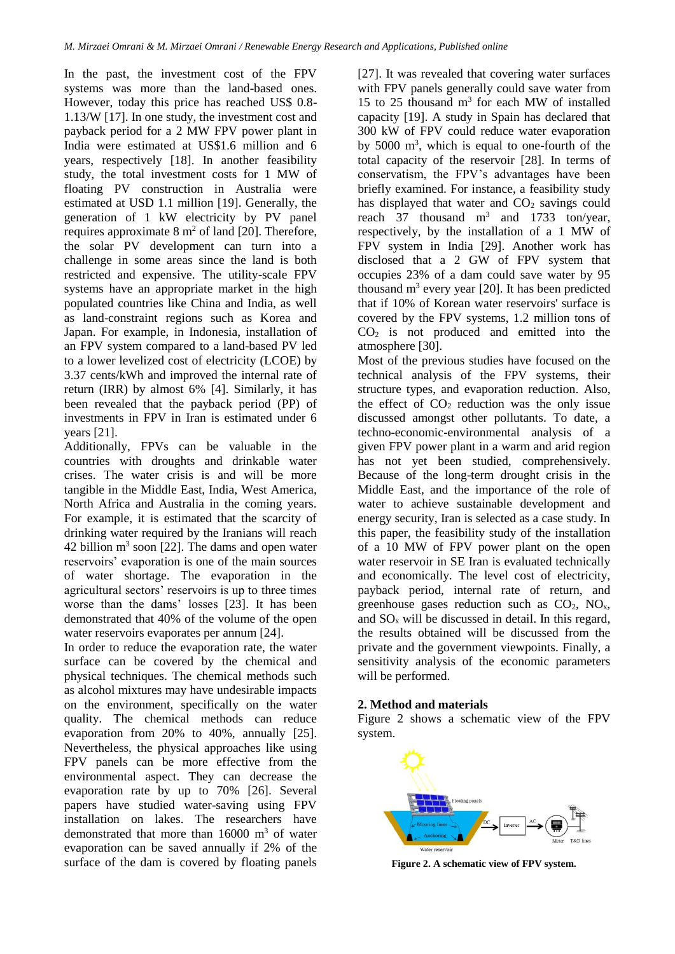In the past, the investment cost of the FPV systems was more than the land-based ones. However, today this price has reached US\$ 0.8- 1.13/W [17]. In one study, the investment cost and payback period for a 2 MW FPV power plant in India were estimated at US\$1.6 million and 6 years, respectively [18]. In another feasibility study, the total investment costs for 1 MW of floating PV construction in Australia were estimated at USD 1.1 million [19]. Generally, the generation of 1 kW electricity by PV panel requires approximate  $8 \text{ m}^2$  of land [20]. Therefore, the solar PV development can turn into a challenge in some areas since the land is both restricted and expensive. The utility-scale FPV systems have an appropriate market in the high populated countries like China and India, as well as land-constraint regions such as Korea and Japan. For example, in Indonesia, installation of an FPV system compared to a land-based PV led to a lower levelized cost of electricity (LCOE) by 3.37 cents/kWh and improved the internal rate of return (IRR) by almost 6% [4]. Similarly, it has been revealed that the payback period (PP) of investments in FPV in Iran is estimated under 6 years [21].

Additionally, FPVs can be valuable in the countries with droughts and drinkable water crises. The water crisis is and will be more tangible in the Middle East, India, West America, North Africa and Australia in the coming years. For example, it is estimated that the scarcity of drinking water required by the Iranians will reach  $42$  billion  $m<sup>3</sup>$  soon [22]. The dams and open water reservoirs' evaporation is one of the main sources of water shortage. The evaporation in the agricultural sectors' reservoirs is up to three times worse than the dams' losses [23]. It has been demonstrated that 40% of the volume of the open water reservoirs evaporates per annum [24].

In order to reduce the evaporation rate, the water surface can be covered by the chemical and physical techniques. The chemical methods such as alcohol mixtures may have undesirable impacts on the environment, specifically on the water quality. The chemical methods can reduce evaporation from 20% to 40%, annually [25]. Nevertheless, the physical approaches like using FPV panels can be more effective from the environmental aspect. They can decrease the evaporation rate by up to 70% [26]. Several papers have studied water-saving using FPV installation on lakes. The researchers have demonstrated that more than  $16000 \text{ m}^3$  of water evaporation can be saved annually if 2% of the surface of the dam is covered by floating panels

[27]. It was revealed that covering water surfaces with FPV panels generally could save water from 15 to 25 thousand  $m<sup>3</sup>$  for each MW of installed capacity [19]. A study in Spain has declared that 300 kW of FPV could reduce water evaporation by  $5000 \text{ m}^3$ , which is equal to one-fourth of the total capacity of the reservoir [28]. In terms of conservatism, the FPV's advantages have been briefly examined. For instance, a feasibility study has displayed that water and  $CO<sub>2</sub>$  savings could reach 37 thousand  $m^3$  and 1733 ton/year, respectively, by the installation of a 1 MW of FPV system in India [29]. Another work has disclosed that a 2 GW of FPV system that occupies 23% of a dam could save water by 95 thousand  $m<sup>3</sup>$  every year [20]. It has been predicted that if 10% of Korean water reservoirs' surface is covered by the FPV systems, 1.2 million tons of  $CO<sub>2</sub>$  is not produced and emitted into the atmosphere [30].

Most of the previous studies have focused on the technical analysis of the FPV systems, their structure types, and evaporation reduction. Also, the effect of  $CO<sub>2</sub>$  reduction was the only issue discussed amongst other pollutants. To date, a techno-economic-environmental analysis of a given FPV power plant in a warm and arid region has not yet been studied, comprehensively. Because of the long-term drought crisis in the Middle East, and the importance of the role of water to achieve sustainable development and energy security, Iran is selected as a case study. In this paper, the feasibility study of the installation of a 10 MW of FPV power plant on the open water reservoir in SE Iran is evaluated technically and economically. The level cost of electricity, payback period, internal rate of return, and greenhouse gases reduction such as  $CO<sub>2</sub>$ ,  $NO<sub>x</sub>$ , and  $SO_x$  will be discussed in detail. In this regard, the results obtained will be discussed from the private and the government viewpoints. Finally, a sensitivity analysis of the economic parameters will be performed.

#### **2. Method and materials**

Figure 2 shows a schematic view of the FPV system.



**Figure 2. A schematic view of FPV system.**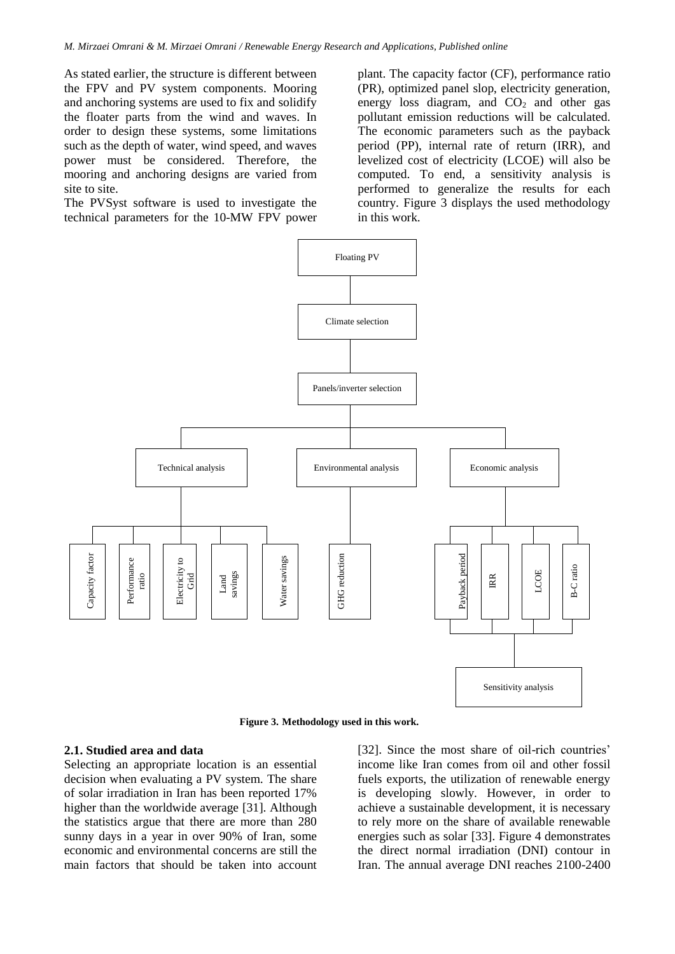As stated earlier, the structure is different between the FPV and PV system components. Mooring and anchoring systems are used to fix and solidify the floater parts from the wind and waves. In order to design these systems, some limitations such as the depth of water, wind speed, and waves power must be considered. Therefore, the mooring and anchoring designs are varied from site to site.

The PVSyst software is used to investigate the technical parameters for the 10-MW FPV power plant. The capacity factor (CF), performance ratio (PR), optimized panel slop, electricity generation, energy loss diagram, and  $CO<sub>2</sub>$  and other gas pollutant emission reductions will be calculated. The economic parameters such as the payback period (PP), internal rate of return (IRR), and levelized cost of electricity (LCOE) will also be computed. To end, a sensitivity analysis is performed to generalize the results for each country. Figure 3 displays the used methodology in this work.



**Figure 3. Methodology used in this work.**

#### **2.1. Studied area and data**

Selecting an appropriate location is an essential decision when evaluating a PV system. The share of solar irradiation in Iran has been reported 17% higher than the worldwide average [31]. Although the statistics argue that there are more than 280 sunny days in a year in over 90% of Iran, some economic and environmental concerns are still the main factors that should be taken into account

[32]. Since the most share of oil-rich countries' income like Iran comes from oil and other fossil fuels exports, the utilization of renewable energy is developing slowly. However, in order to achieve a sustainable development, it is necessary to rely more on the share of available renewable energies such as solar [33]. Figure 4 demonstrates the direct normal irradiation (DNI) contour in Iran. The annual average DNI reaches 2100-2400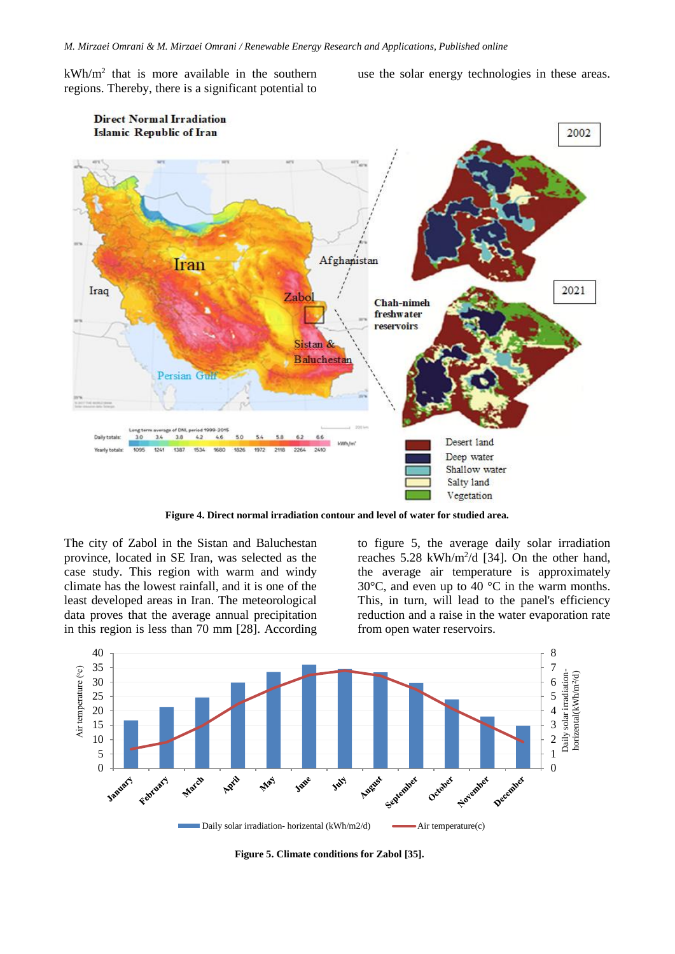$kWh/m<sup>2</sup>$  that is more available in the southern regions. Thereby, there is a significant potential to

use the solar energy technologies in these areas.



**Figure 4. Direct normal irradiation contour and level of water for studied area.**

The city of Zabol in the Sistan and Baluchestan province, located in SE Iran, was selected as the case study. This region with warm and windy climate has the lowest rainfall, and it is one of the least developed areas in Iran. The meteorological data proves that the average annual precipitation in this region is less than 70 mm [28]. According to figure 5, the average daily solar irradiation reaches  $5.28 \text{ kWh/m}^2/\text{d}$  [34]. On the other hand, the average air temperature is approximately 30°C, and even up to 40 °C in the warm months. This, in turn, will lead to the panel's efficiency reduction and a raise in the water evaporation rate from open water reservoirs.



**Figure 5. Climate conditions for Zabol [35].**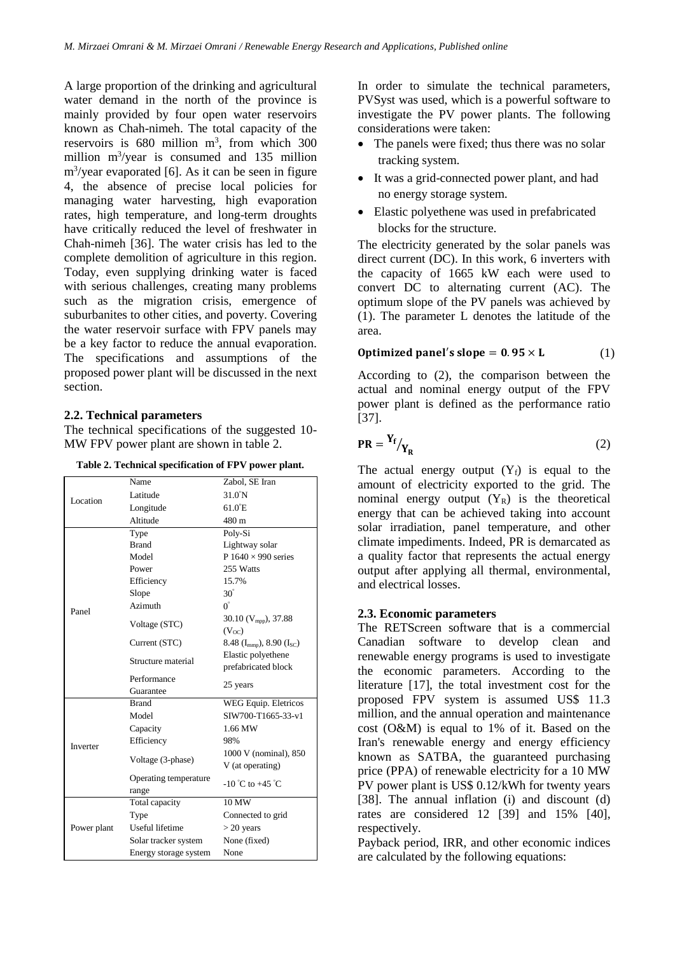A large proportion of the drinking and agricultural water demand in the north of the province is mainly provided by four open water reservoirs known as Chah-nimeh. The total capacity of the reservoirs is  $680$  million m<sup>3</sup>, from which 300 million m<sup>3</sup>/year is consumed and 135 million m<sup>3</sup> /year evaporated [6]. As it can be seen in figure 4, the absence of precise local policies for managing water harvesting, high evaporation rates, high temperature, and long-term droughts have critically reduced the level of freshwater in Chah-nimeh [36]. The water crisis has led to the complete demolition of agriculture in this region. Today, even supplying drinking water is faced with serious challenges, creating many problems such as the migration crisis, emergence of suburbanites to other cities, and poverty. Covering the water reservoir surface with FPV panels may be a key factor to reduce the annual evaporation. The specifications and assumptions of the proposed power plant will be discussed in the next section.

## **2.2. Technical parameters**

The technical specifications of the suggested 10- MW FPV power plant are shown in table 2.

**Table 2. Technical specification of FPV power plant.**

| Table 2. Technical specification of FPV power plant. |                                                          |  |
|------------------------------------------------------|----------------------------------------------------------|--|
| Name                                                 | Zabol, SE Iran                                           |  |
| Latitude                                             | $31.0^{\circ}$ N                                         |  |
| Longitude                                            | $61.0$ <sup><math>E</math></sup>                         |  |
| Altitude                                             | 480 m                                                    |  |
| Type                                                 | Poly-Si                                                  |  |
| <b>Brand</b>                                         | Lightway solar                                           |  |
| Model                                                | P $1640 \times 990$ series                               |  |
| Power                                                | 255 Watts                                                |  |
| Efficiency                                           | 15.7%                                                    |  |
| Slope                                                | $30^\circ$                                               |  |
| Azimuth                                              | $0^{\circ}$                                              |  |
|                                                      | 30.10 ( $V_{mpp}$ ), 37.88                               |  |
|                                                      | (V <sub>oc</sub> )                                       |  |
| Current (STC)                                        | 8.48 ( $I_{\text{mmp}}$ ), 8.90 ( $I_{\text{SC}}$ )      |  |
|                                                      | Elastic polyethene                                       |  |
|                                                      | prefabricated block                                      |  |
| Performance                                          |                                                          |  |
| Guarantee                                            | 25 years                                                 |  |
| <b>Brand</b>                                         | WEG Equip. Eletricos                                     |  |
| Model                                                | SIW700-T1665-33-v1                                       |  |
| Capacity                                             | 1.66 MW                                                  |  |
| Efficiency                                           | 98%                                                      |  |
|                                                      | 1000 V (nominal), 850                                    |  |
|                                                      | V (at operating)                                         |  |
| Operating temperature                                |                                                          |  |
| range                                                | $-10^{\circ}$ C to $+45^{\circ}$ C                       |  |
| Total capacity                                       | 10 MW                                                    |  |
| Type                                                 | Connected to grid                                        |  |
| <b>Useful</b> lifetime                               | $>$ 20 years                                             |  |
| Solar tracker system                                 | None (fixed)                                             |  |
| Energy storage system                                | None                                                     |  |
|                                                      | Voltage (STC)<br>Structure material<br>Voltage (3-phase) |  |

In order to simulate the technical parameters, PVSyst was used, which is a powerful software to investigate the PV power plants. The following considerations were taken:

- The panels were fixed; thus there was no solar tracking system.
- It was a grid-connected power plant, and had no energy storage system.
- Elastic polyethene was used in prefabricated blocks for the structure.

The electricity generated by the solar panels was direct current (DC). In this work, 6 inverters with the capacity of 1665 kW each were used to convert DC to alternating current (AC). The optimum slope of the PV panels was achieved by (1). The parameter L denotes the latitude of the area.

# **Optimized panel's slope = 0.95**  $\times$  **L** (1)

According to (2), the comparison between the actual and nominal energy output of the FPV power plant is defined as the performance ratio [37].

$$
PR = \frac{Y_f}{Y_R} \tag{2}
$$

The actual energy output  $(Y_f)$  is equal to the amount of electricity exported to the grid. The nominal energy output  $(Y_R)$  is the theoretical energy that can be achieved taking into account solar irradiation, panel temperature, and other climate impediments. Indeed, PR is demarcated as a quality factor that represents the actual energy output after applying all thermal, environmental, and electrical losses.

## **2.3. Economic parameters**

The RETScreen software that is a commercial Canadian software to develop clean and renewable energy programs is used to investigate the economic parameters. According to the literature [17], the total investment cost for the proposed FPV system is assumed US\$ 11.3 million, and the annual operation and maintenance cost (O&M) is equal to 1% of it. Based on the Iran's renewable energy and energy efficiency known as SATBA, the guaranteed purchasing price (PPA) of renewable electricity for a 10 MW PV power plant is US\$ 0.12/kWh for twenty years [38]. The annual inflation (i) and discount (d) rates are considered 12 [39] and 15% [40], respectively.

Payback period, IRR, and other economic indices are calculated by the following equations: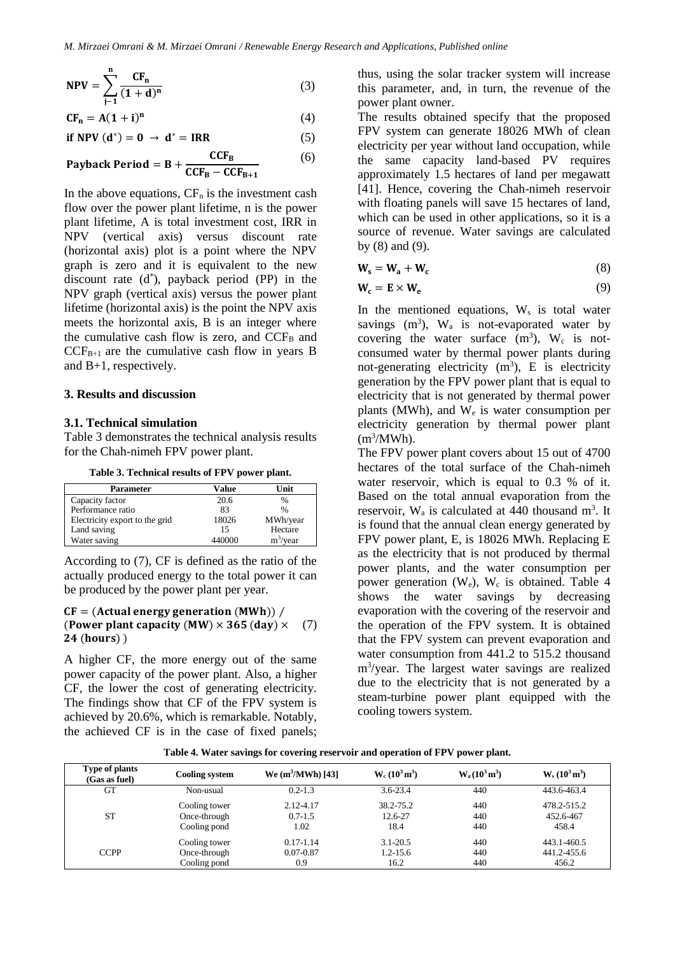$$
NPV = \sum_{j=1}^{n} \frac{CF_n}{(1+d)^n}
$$
 (3)

$$
CF_n = A(1 + i)^n
$$
 (4)

$$
\text{if } \mathbf{NPV}(\mathbf{d}^*) = \mathbf{0} \to \mathbf{d}^* = \text{IRR} \tag{5}
$$

Payback Period = B + 
$$
\frac{CCF_B}{CCF_B - CCF_{B+1}}
$$
 (6)

In the above equations,  $CF_n$  is the investment cash flow over the power plant lifetime, n is the power plant lifetime, A is total investment cost, IRR in NPV (vertical axis) versus discount rate (horizontal axis) plot is a point where the NPV graph is zero and it is equivalent to the new discount rate (d\* ), payback period (PP) in the NPV graph (vertical axis) versus the power plant lifetime (horizontal axis) is the point the NPV axis meets the horizontal axis, B is an integer where the cumulative cash flow is zero, and  $CCF<sub>B</sub>$  and  $CCF_{B+1}$  are the cumulative cash flow in years B and B+1, respectively.

#### **3. Results and discussion**

#### **3.1. Technical simulation**

Table 3 demonstrates the technical analysis results for the Chah-nimeh FPV power plant.

**Table 3. Technical results of FPV power plant.**

| <b>Parameter</b>               | Value  | Unit        |
|--------------------------------|--------|-------------|
| Capacity factor                | 20.6   | $\%$        |
| Performance ratio              | 83     | $\%$        |
| Electricity export to the grid | 18026  | MWh/year    |
| Land saving                    | 15     | Hectare     |
| Water saving                   | 440000 | $m^3$ /year |

According to (7), CF is defined as the ratio of the actually produced energy to the total power it can be produced by the power plant per year.

#### $CF = (Actual$  energy generation  $(MWh)$ ) / (Power plant capacity (MW)  $\times$  365 (day)  $\times$  (7) **24 (hours)**)

A higher CF, the more energy out of the same power capacity of the power plant. Also, a higher CF, the lower the cost of generating electricity. The findings show that CF of the FPV system is achieved by 20.6%, which is remarkable. Notably, the achieved CF is in the case of fixed panels;

thus, using the solar tracker system will increase this parameter, and, in turn, the revenue of the power plant owner.

The results obtained specify that the proposed FPV system can generate 18026 MWh of clean electricity per year without land occupation, while the same capacity land-based PV requires approximately 1.5 hectares of land per megawatt [41]. Hence, covering the Chah-nimeh reservoir with floating panels will save 15 hectares of land, which can be used in other applications, so it is a source of revenue. Water savings are calculated by (8) and (9).

$$
W_s = W_a + W_c \tag{8}
$$

$$
\mathbf{W}_{\mathbf{c}} = \mathbf{E} \times \mathbf{W}_{\mathbf{e}} \tag{9}
$$

In the mentioned equations,  $W_s$  is total water savings  $(m^3)$ , W<sub>a</sub> is not-evaporated water by covering the water surface  $(m^3)$ , W<sub>c</sub> is notconsumed water by thermal power plants during not-generating electricity  $(m<sup>3</sup>)$ , E is electricity generation by the FPV power plant that is equal to electricity that is not generated by thermal power plants (MWh), and  $W_e$  is water consumption per electricity generation by thermal power plant  $(m<sup>3</sup>/MWh)$ .

The FPV power plant covers about 15 out of 4700 hectares of the total surface of the Chah-nimeh water reservoir, which is equal to 0.3 % of it. Based on the total annual evaporation from the reservoir,  $W_a$  is calculated at 440 thousand  $m^3$ . It is found that the annual clean energy generated by FPV power plant, E, is 18026 MWh. Replacing E as the electricity that is not produced by thermal power plants, and the water consumption per power generation  $(W_e)$ ,  $W_c$  is obtained. Table 4 shows the water savings by decreasing evaporation with the covering of the reservoir and the operation of the FPV system. It is obtained that the FPV system can prevent evaporation and water consumption from 441.2 to 515.2 thousand m<sup>3</sup> /year. The largest water savings are realized due to the electricity that is not generated by a steam-turbine power plant equipped with the cooling towers system.

**Table 4. Water savings for covering reservoir and operation of FPV power plant.**

| Type of plants<br>(Gas as fuel) | <b>Cooling system</b> | We $(m^3/MWh)$ [43] | $W_c (10^3 \text{ m}^3)$ | $W_a(10^3 \text{ m}^3)$ | $W_s(10^3 m^3)$ |
|---------------------------------|-----------------------|---------------------|--------------------------|-------------------------|-----------------|
| GT                              | Non-usual             | $0.2 - 1.3$         | $3.6 - 23.4$             | 440                     | 443.6-463.4     |
|                                 | Cooling tower         | 2.12-4.17           | 38.2-75.2                | 440                     | 478.2-515.2     |
| <b>ST</b>                       | Once-through          | $0.7 - 1.5$         | 12.6-27                  | 440                     | 452.6-467       |
|                                 | Cooling pond          | 1.02                | 18.4                     | 440                     | 458.4           |
|                                 | Cooling tower         | $0.17 - 1.14$       | $3.1 - 20.5$             | 440                     | 443.1-460.5     |
| <b>CCPP</b>                     | Once-through          | $0.07 - 0.87$       | $1.2 - 15.6$             | 440                     | 441.2-455.6     |
|                                 | Cooling pond          | 0.9                 | 16.2                     | 440                     | 456.2           |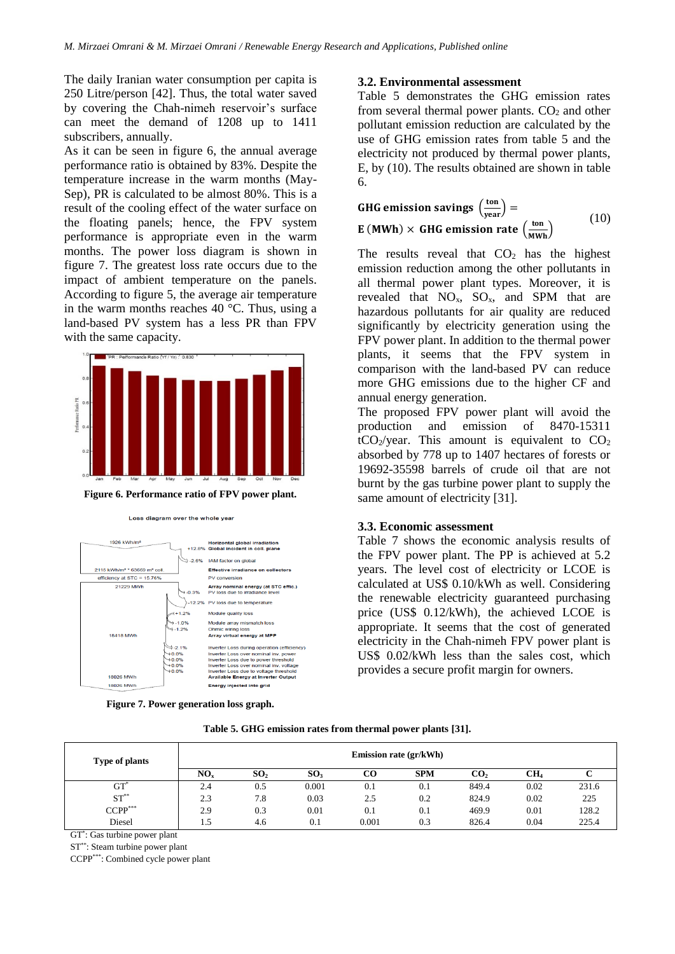The daily Iranian water consumption per capita is 250 Litre/person [42]. Thus, the total water saved by covering the Chah-nimeh reservoir's surface can meet the demand of 1208 up to 1411 subscribers, annually.

As it can be seen in figure 6, the annual average performance ratio is obtained by 83%. Despite the temperature increase in the warm months (May-Sep), PR is calculated to be almost 80%. This is a result of the cooling effect of the water surface on the floating panels; hence, the FPV system performance is appropriate even in the warm months. The power loss diagram is shown in figure 7. The greatest loss rate occurs due to the impact of ambient temperature on the panels. According to figure 5, the average air temperature in the warm months reaches 40 °C. Thus, using a land-based PV system has a less PR than FPV with the same capacity.



**Figure 6. Performance ratio of FPV power plant.**

Loss diagram over the whole year



**Figure 7. Power generation loss graph.**

#### **3.2. Environmental assessment**

Table 5 demonstrates the GHG emission rates from several thermal power plants.  $CO<sub>2</sub>$  and other pollutant emission reduction are calculated by the use of GHG emission rates from table 5 and the electricity not produced by thermal power plants, E, by (10). The results obtained are shown in table 6.

GHG emission savings 
$$
\left(\frac{\text{ton}}{\text{year}}\right) =
$$
  
E (MWh) × GHG emission rate  $\left(\frac{\text{ton}}{\text{MWh}}\right)$  (10)

The results reveal that  $CO<sub>2</sub>$  has the highest emission reduction among the other pollutants in all thermal power plant types. Moreover, it is revealed that  $NO_x$ ,  $SO_x$ , and SPM that are hazardous pollutants for air quality are reduced significantly by electricity generation using the FPV power plant. In addition to the thermal power plants, it seems that the FPV system in comparison with the land-based PV can reduce more GHG emissions due to the higher CF and annual energy generation.

The proposed FPV power plant will avoid the production and emission of 8470-15311  $tCO<sub>2</sub>/year$ . This amount is equivalent to  $CO<sub>2</sub>$ absorbed by 778 up to 1407 hectares of forests or 19692-35598 barrels of crude oil that are not burnt by the gas turbine power plant to supply the same amount of electricity [31].

#### **3.3. Economic assessment**

Table 7 shows the economic analysis results of the FPV power plant. The PP is achieved at 5.2 years. The level cost of electricity or LCOE is calculated at US\$ 0.10/kWh as well. Considering the renewable electricity guaranteed purchasing price (US\$ 0.12/kWh), the achieved LCOE is appropriate. It seems that the cost of generated electricity in the Chah-nimeh FPV power plant is US\$ 0.02/kWh less than the sales cost, which provides a secure profit margin for owners.

|  |  | Table 5. GHG emission rates from thermal power plants [31]. |  |  |  |  |  |
|--|--|-------------------------------------------------------------|--|--|--|--|--|
|--|--|-------------------------------------------------------------|--|--|--|--|--|

| <b>Type of plants</b> |                 |                 |                 |       | <b>Emission rate (gr/kWh)</b> |                 |                 |       |
|-----------------------|-----------------|-----------------|-----------------|-------|-------------------------------|-----------------|-----------------|-------|
|                       | NO <sub>x</sub> | SO <sub>2</sub> | SO <sub>3</sub> | CO    | <b>SPM</b>                    | CO <sub>2</sub> | CH <sub>4</sub> |       |
| $GT^*$                | 2.4             | 0.5             | 0.001           | 0.1   | 0.1                           | 849.4           | 0.02            | 231.6 |
| $ST^{**}$             | 2.3             | 7.8             | 0.03            | 2.5   | 0.2                           | 824.9           | 0.02            | 225   |
| $CCPP***$             | 2.9             | 0.3             | 0.01            | 0.1   | 0.1                           | 469.9           | 0.01            | 128.2 |
| Diesel                | L.5             | 4.6             | 0.1             | 0.001 | 0.3                           | 826.4           | 0.04            | 225.4 |

GT\* : Gas turbine power plant

ST\*\*: Steam turbine power plant

CCPP\*\*\*: Combined cycle power plant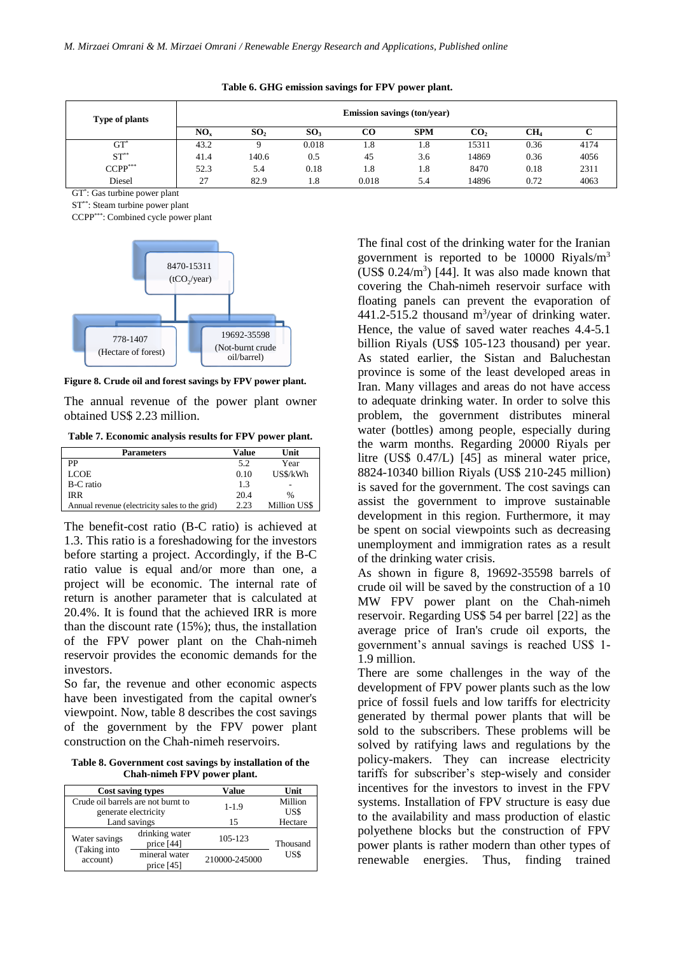| Type of plants |                 |                 |                 |       | <b>Emission savings (ton/year)</b> |                 |      |      |
|----------------|-----------------|-----------------|-----------------|-------|------------------------------------|-----------------|------|------|
|                | NO <sub>x</sub> | SO <sub>2</sub> | SO <sub>3</sub> | CO    | <b>SPM</b>                         | CO <sub>2</sub> | CH4  |      |
| GT             | 43.2            |                 | 0.018           | 1.8   | l.8                                | 15311           | 0.36 | 4174 |
| $ST^{**}$      | 41.4            | 140.6           | 0.5             | 45    | 3.6                                | 14869           | 0.36 | 4056 |
| $CCPP***$      | 52.3            | 5.4             | 0.18            | 1.8   | 1.8                                | 8470            | 0.18 | 2311 |
| Diesel         | 27              | 82.9            | 1.8             | 0.018 | 5.4                                | 14896           | 0.72 | 4063 |

|  |  | Table 6. GHG emission savings for FPV power plant. |  |  |  |  |  |
|--|--|----------------------------------------------------|--|--|--|--|--|
|--|--|----------------------------------------------------|--|--|--|--|--|

GT\* : Gas turbine power plant

ST\*\*: Steam turbine power plant

CCPP\*\*\*: Combined cycle power plant



**Figure 8. Crude oil and forest savings by FPV power plant.**

The annual revenue of the power plant owner obtained US\$ 2.23 million.

**Table 7. Economic analysis results for FPV power plant.** 

| Parameters                                     | Value | Unit         |
|------------------------------------------------|-------|--------------|
| PP                                             | 5.2   | Year         |
| LCOE                                           | 0.10  | US\$/kWh     |
| B-C ratio                                      | 1.3   |              |
| IR R                                           | 20.4  | $\%$         |
| Annual revenue (electricity sales to the grid) | 2.23  | Million US\$ |

The benefit-cost ratio (B-C ratio) is achieved at 1.3. This ratio is a foreshadowing for the investors before starting a project. Accordingly, if the B-C ratio value is equal and/or more than one, a project will be economic. The internal rate of return is another parameter that is calculated at 20.4%. It is found that the achieved IRR is more than the discount rate (15%); thus, the installation of the FPV power plant on the Chah-nimeh reservoir provides the economic demands for the investors.

So far, the revenue and other economic aspects have been investigated from the capital owner's viewpoint. Now, table 8 describes the cost savings of the government by the FPV power plant construction on the Chah-nimeh reservoirs.

**Table 8. Government cost savings by installation of the Chah-nimeh FPV power plant.**

|                                                            | <b>Cost saving types</b>      | Value         | Unit            |
|------------------------------------------------------------|-------------------------------|---------------|-----------------|
| Crude oil barrels are not burnt to<br>generate electricity |                               | $1 - 1.9$     | Million<br>US\$ |
| Land savings                                               |                               | 15            | Hectare         |
| Water savings<br>(Taking into                              | drinking water<br>price [44]  | 105-123       | Thousand        |
| account)                                                   | mineral water<br>price $[45]$ | 210000-245000 | US\$            |

The final cost of the drinking water for the Iranian government is reported to be 10000 Riyals/m<sup>3</sup> (US\$  $0.24/m<sup>3</sup>$ ) [44]. It was also made known that covering the Chah-nimeh reservoir surface with floating panels can prevent the evaporation of  $441.2 - 515.2$  thousand m<sup>3</sup>/year of drinking water. Hence, the value of saved water reaches 4.4-5.1 billion Riyals (US\$ 105-123 thousand) per year. As stated earlier, the Sistan and Baluchestan province is some of the least developed areas in Iran. Many villages and areas do not have access to adequate drinking water. In order to solve this problem, the government distributes mineral water (bottles) among people, especially during the warm months. Regarding 20000 Riyals per litre (US\$ 0.47/L) [45] as mineral water price, 8824-10340 billion Riyals (US\$ 210-245 million) is saved for the government. The cost savings can assist the government to improve sustainable development in this region. Furthermore, it may be spent on social viewpoints such as decreasing unemployment and immigration rates as a result of the drinking water crisis.

As shown in figure 8, 19692-35598 barrels of crude oil will be saved by the construction of a 10 MW FPV power plant on the Chah-nimeh reservoir. Regarding US\$ 54 per barrel [22] as the average price of Iran's crude oil exports, the government's annual savings is reached US\$ 1- 1.9 million.

There are some challenges in the way of the development of FPV power plants such as the low price of fossil fuels and low tariffs for electricity generated by thermal power plants that will be sold to the subscribers. These problems will be solved by ratifying laws and regulations by the policy-makers. They can increase electricity tariffs for subscriber's step-wisely and consider incentives for the investors to invest in the FPV systems. Installation of FPV structure is easy due to the availability and mass production of elastic polyethene blocks but the construction of FPV power plants is rather modern than other types of renewable energies. Thus, finding trained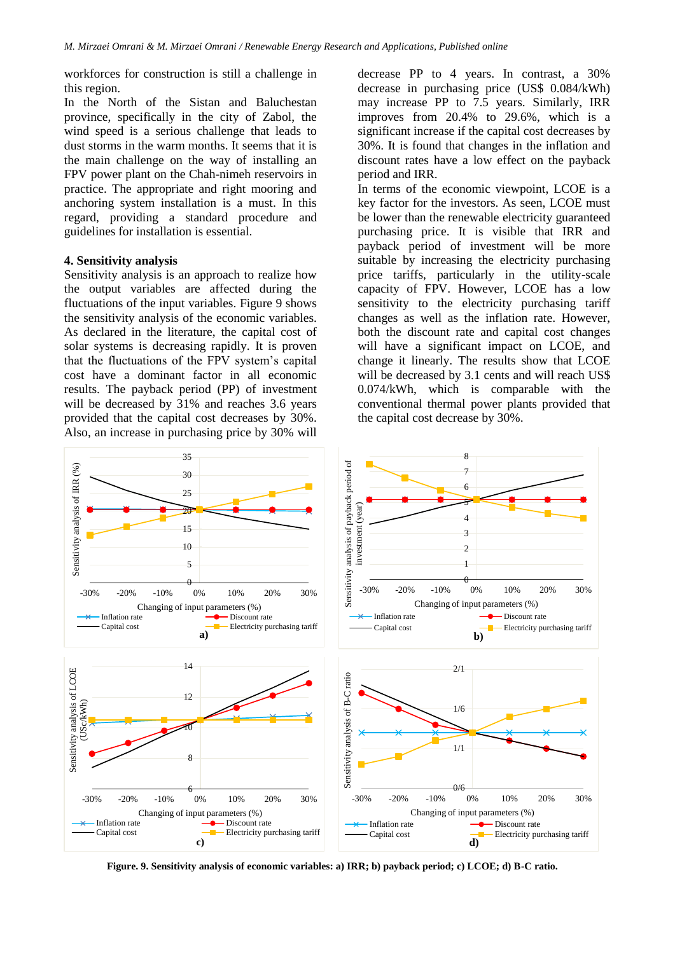workforces for construction is still a challenge in this region.

In the North of the Sistan and Baluchestan province, specifically in the city of Zabol, the wind speed is a serious challenge that leads to dust storms in the warm months. It seems that it is the main challenge on the way of installing an FPV power plant on the Chah-nimeh reservoirs in practice. The appropriate and right mooring and anchoring system installation is a must. In this regard, providing a standard procedure and guidelines for installation is essential.

#### **4. Sensitivity analysis**

Sensitivity analysis is an approach to realize how the output variables are affected during the fluctuations of the input variables. Figure 9 shows the sensitivity analysis of the economic variables. As declared in the literature, the capital cost of solar systems is decreasing rapidly. It is proven that the fluctuations of the FPV system's capital cost have a dominant factor in all economic results. The payback period (PP) of investment will be decreased by 31% and reaches 3.6 years provided that the capital cost decreases by 30%. Also, an increase in purchasing price by 30% will

decrease PP to 4 years. In contrast, a 30% decrease in purchasing price (US\$ 0.084/kWh) may increase PP to 7.5 years. Similarly, IRR improves from 20.4% to 29.6%, which is a significant increase if the capital cost decreases by 30%. It is found that changes in the inflation and discount rates have a low effect on the payback period and IRR.

In terms of the economic viewpoint, LCOE is a key factor for the investors. As seen, LCOE must be lower than the renewable electricity guaranteed purchasing price. It is visible that IRR and payback period of investment will be more suitable by increasing the electricity purchasing price tariffs, particularly in the utility-scale capacity of FPV. However, LCOE has a low sensitivity to the electricity purchasing tariff changes as well as the inflation rate. However, both the discount rate and capital cost changes will have a significant impact on LCOE, and change it linearly. The results show that LCOE will be decreased by 3.1 cents and will reach US\$ 0.074/kWh, which is comparable with the conventional thermal power plants provided that the capital cost decrease by 30%.



**Figure. 9. Sensitivity analysis of economic variables: a) IRR; b) payback period; c) LCOE; d) B-C ratio.**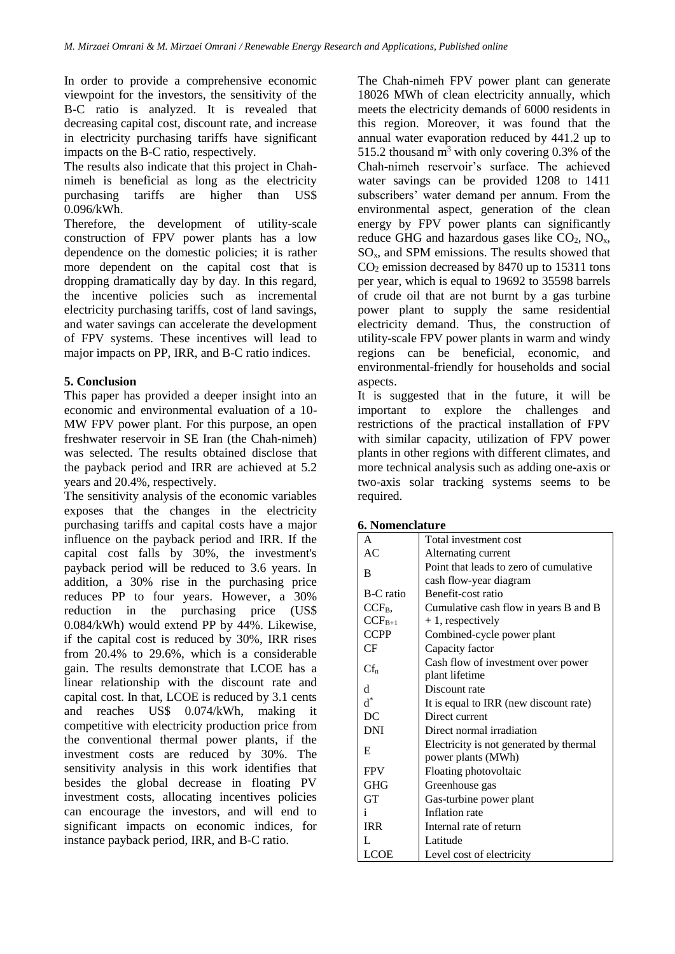In order to provide a comprehensive economic viewpoint for the investors, the sensitivity of the B-C ratio is analyzed. It is revealed that decreasing capital cost, discount rate, and increase in electricity purchasing tariffs have significant impacts on the B-C ratio, respectively.

The results also indicate that this project in Chahnimeh is beneficial as long as the electricity purchasing tariffs are higher than US\$ 0.096/kWh.

Therefore, the development of utility-scale construction of FPV power plants has a low dependence on the domestic policies; it is rather more dependent on the capital cost that is dropping dramatically day by day. In this regard, the incentive policies such as incremental electricity purchasing tariffs, cost of land savings, and water savings can accelerate the development of FPV systems. These incentives will lead to major impacts on PP, IRR, and B-C ratio indices.

## **5. Conclusion**

This paper has provided a deeper insight into an economic and environmental evaluation of a 10- MW FPV power plant. For this purpose, an open freshwater reservoir in SE Iran (the Chah-nimeh) was selected. The results obtained disclose that the payback period and IRR are achieved at 5.2 years and 20.4%, respectively.

The sensitivity analysis of the economic variables exposes that the changes in the electricity purchasing tariffs and capital costs have a major influence on the payback period and IRR. If the capital cost falls by 30%, the investment's payback period will be reduced to 3.6 years. In addition, a 30% rise in the purchasing price reduces PP to four years. However, a 30% reduction in the purchasing price (US\$ 0.084/kWh) would extend PP by 44%. Likewise, if the capital cost is reduced by 30%, IRR rises from 20.4% to 29.6%, which is a considerable gain. The results demonstrate that LCOE has a linear relationship with the discount rate and capital cost. In that, LCOE is reduced by 3.1 cents and reaches US\$ 0.074/kWh, making it competitive with electricity production price from the conventional thermal power plants, if the investment costs are reduced by 30%. The sensitivity analysis in this work identifies that besides the global decrease in floating PV investment costs, allocating incentives policies can encourage the investors, and will end to significant impacts on economic indices, for instance payback period, IRR, and B-C ratio.

The Chah-nimeh FPV power plant can generate 18026 MWh of clean electricity annually, which meets the electricity demands of 6000 residents in this region. Moreover, it was found that the annual water evaporation reduced by 441.2 up to 515.2 thousand  $m<sup>3</sup>$  with only covering 0.3% of the Chah-nimeh reservoir's surface. The achieved water savings can be provided 1208 to 1411 subscribers' water demand per annum. From the environmental aspect, generation of the clean energy by FPV power plants can significantly reduce GHG and hazardous gases like  $CO<sub>2</sub>$ , NO<sub>x</sub>,  $SO<sub>x</sub>$ , and SPM emissions. The results showed that  $CO<sub>2</sub>$  emission decreased by 8470 up to 15311 tons per year, which is equal to 19692 to 35598 barrels of crude oil that are not burnt by a gas turbine power plant to supply the same residential electricity demand. Thus, the construction of utility-scale FPV power plants in warm and windy regions can be beneficial, economic, and environmental-friendly for households and social aspects.

It is suggested that in the future, it will be important to explore the challenges and restrictions of the practical installation of FPV with similar capacity, utilization of FPV power plants in other regions with different climates, and more technical analysis such as adding one-axis or two-axis solar tracking systems seems to be required.

| A           | Total investment cost                                            |
|-------------|------------------------------------------------------------------|
| AC          | Alternating current                                              |
| B           | Point that leads to zero of cumulative<br>cash flow-year diagram |
| B-C ratio   | Benefit-cost ratio                                               |
| $CCF_{B}$   | Cumulative cash flow in years B and B                            |
| $CCF_{B+1}$ | $+1$ , respectively                                              |
| <b>CCPP</b> | Combined-cycle power plant                                       |
| CF          | Capacity factor                                                  |
| $Cf_n$      | Cash flow of investment over power<br>plant lifetime             |
| d           | Discount rate                                                    |
| $d^*$       | It is equal to IRR (new discount rate)                           |
| DC          | Direct current                                                   |
| <b>DNI</b>  | Direct normal irradiation                                        |
| E           | Electricity is not generated by thermal<br>power plants (MWh)    |
| <b>FPV</b>  | Floating photovoltaic                                            |
| <b>GHG</b>  | Greenhouse gas                                                   |
| <b>GT</b>   | Gas-turbine power plant                                          |
| 1           | Inflation rate                                                   |
| <b>IRR</b>  | Internal rate of return                                          |
| L           | Latitude                                                         |
| <b>LCOE</b> | Level cost of electricity                                        |

**6. Nomenclature**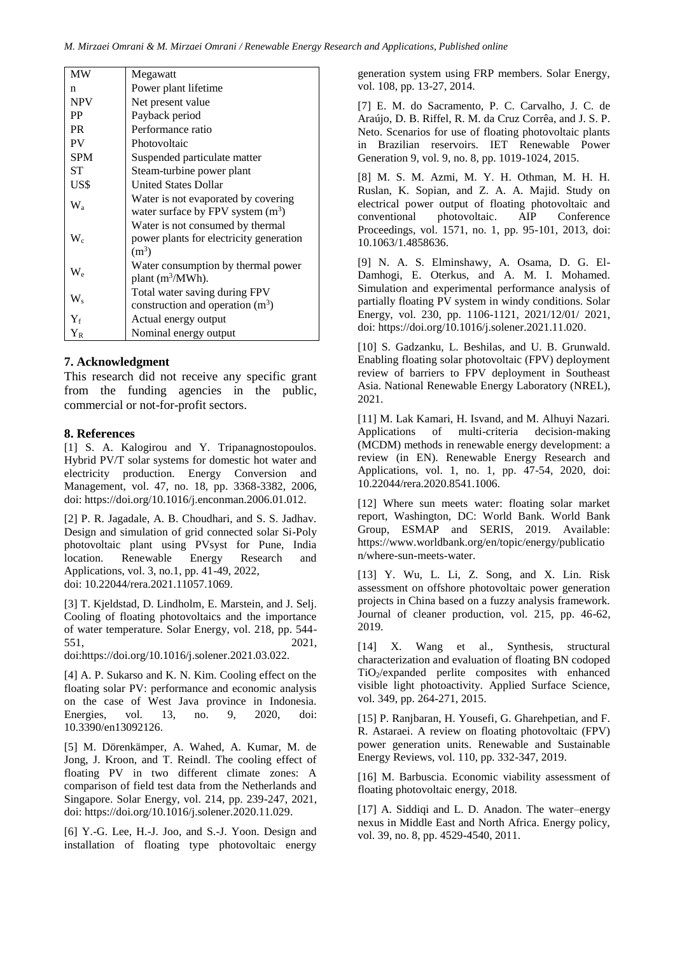| <b>MW</b>                 | Megawatt                                                                               |
|---------------------------|----------------------------------------------------------------------------------------|
| n                         | Power plant lifetime                                                                   |
| <b>NPV</b>                | Net present value                                                                      |
| <b>PP</b>                 | Payback period                                                                         |
| <b>PR</b>                 | Performance ratio                                                                      |
| PV                        | Photovoltaic                                                                           |
| <b>SPM</b>                | Suspended particulate matter                                                           |
| SТ                        | Steam-turbine power plant                                                              |
| US\$                      | <b>United States Dollar</b>                                                            |
| $\rm W_a$                 | Water is not evaporated by covering<br>water surface by FPV system $(m^3)$             |
| $\mathrm{W}_{\mathrm{c}}$ | Water is not consumed by thermal<br>power plants for electricity generation<br>$(m^3)$ |
| $\mathrm{W}_{\mathrm{e}}$ | Water consumption by thermal power<br>plant $(m^3/MWh)$ .                              |
| W,                        | Total water saving during FPV<br>construction and operation $(m^3)$                    |
| ${\rm Y}_{\rm f}$         | Actual energy output                                                                   |
| ${\rm Y}_{\rm R}$         | Nominal energy output                                                                  |

#### **7. Acknowledgment**

This research did not receive any specific grant from the funding agencies in the public, commercial or not-for-profit sectors.

#### **8. References**

[1] S. A. Kalogirou and Y. Tripanagnostopoulos. Hybrid PV/T solar systems for domestic hot water and electricity production. Energy Conversion and Management, vol. 47, no. 18, pp. 3368-3382, 2006, doi: https://doi.org/10.1016/j.enconman.2006.01.012.

[2] P. R. Jagadale, A. B. Choudhari, and S. S. Jadhav. Design and simulation of grid connected solar Si-Poly photovoltaic plant using PVsyst for Pune, India<br>location. Renewable Energy Research and location. Renewable Energy Research and Applications, vol. 3, no.1, pp. 41-49, 2022, doi: 10.22044/rera.2021.11057.1069.

[3] T. Kjeldstad, D. Lindholm, E. Marstein, and J. Selj. Cooling of floating photovoltaics and the importance of water temperature. Solar Energy, vol. 218, pp. 544- 551, 2021,

doi:https://doi.org/10.1016/j.solener.2021.03.022.

[4] A. P. Sukarso and K. N. Kim. Cooling effect on the floating solar PV: performance and economic analysis on the case of West Java province in Indonesia. Energies, vol. 13, no. 9, 2020, doi: 10.3390/en13092126.

[5] M. Dörenkämper, A. Wahed, A. Kumar, M. de Jong, J. Kroon, and T. Reindl. The cooling effect of floating PV in two different climate zones: A comparison of field test data from the Netherlands and Singapore. Solar Energy, vol. 214, pp. 239-247, 2021, doi: [https://doi.org/10.1016/j.solener.2020.11.029.](https://doi.org/10.1016/j.solener.2020.11.029)

[6] Y.-G. Lee, H.-J. Joo, and S.-J. Yoon. Design and installation of floating type photovoltaic energy

generation system using FRP members. Solar Energy, vol. 108, pp. 13-27, 2014.

[7] E. M. do Sacramento, P. C. Carvalho, J. C. de Araújo, D. B. Riffel, R. M. da Cruz Corrêa, and J. S. P. Neto. Scenarios for use of floating photovoltaic plants in Brazilian reservoirs. IET Renewable Power Generation 9, vol. 9, no. 8, pp. 1019-1024, 2015.

[8] M. S. M. Azmi, M. Y. H. Othman, M. H. H. Ruslan, K. Sopian, and Z. A. A. Majid. Study on electrical power output of floating photovoltaic and<br>conventional photovoltaic. AIP Conference photovoltaic. AIP Conference Proceedings, vol. 1571, no. 1, pp. 95-101, 2013, doi: 10.1063/1.4858636.

[9] N. A. S. Elminshawy, A. Osama, D. G. El-Damhogi, E. Oterkus, and A. M. I. Mohamed. Simulation and experimental performance analysis of partially floating PV system in windy conditions. Solar Energy, vol. 230, pp. 1106-1121, 2021/12/01/ 2021, doi[: https://doi.org/10.1016/j.solener.2021.11.020.](https://doi.org/10.1016/j.solener.2021.11.020)

[10] S. Gadzanku, L. Beshilas, and U. B. Grunwald. Enabling floating solar photovoltaic (FPV) deployment review of barriers to FPV deployment in Southeast Asia. National Renewable Energy Laboratory (NREL), 2021.

[11] M. Lak Kamari, H. Isvand, and M. Alhuyi Nazari. Applications of multi-criteria decision-making (MCDM) methods in renewable energy development: a review (in EN). Renewable Energy Research and Applications, vol. 1, no. 1, pp. 47-54, 2020, doi: 10.22044/rera.2020.8541.1006.

[12] Where sun meets water: floating solar market report, Washington, DC: World Bank. World Bank Group, ESMAP and SERIS, 2019. Available: [https://www.worldbank.org/en/topic/energy/publicatio](https://www.worldbank.org/en/topic/energy/publication/where-sun-meets-water) [n/where-sun-meets-water.](https://www.worldbank.org/en/topic/energy/publication/where-sun-meets-water)

[13] Y. Wu, L. Li, Z. Song, and X. Lin. Risk assessment on offshore photovoltaic power generation projects in China based on a fuzzy analysis framework. Journal of cleaner production, vol. 215, pp. 46-62, 2019.

[14] X. Wang et al., Synthesis, structural characterization and evaluation of floating BN codoped TiO2/expanded perlite composites with enhanced visible light photoactivity. Applied Surface Science, vol. 349, pp. 264-271, 2015.

[15] P. Ranjbaran, H. Yousefi, G. Gharehpetian, and F. R. Astaraei. A review on floating photovoltaic (FPV) power generation units. Renewable and Sustainable Energy Reviews, vol. 110, pp. 332-347, 2019.

[16] M. Barbuscia. Economic viability assessment of floating photovoltaic energy, 2018.

[17] A. Siddiqi and L. D. Anadon. The water–energy nexus in Middle East and North Africa. Energy policy, vol. 39, no. 8, pp. 4529-4540, 2011.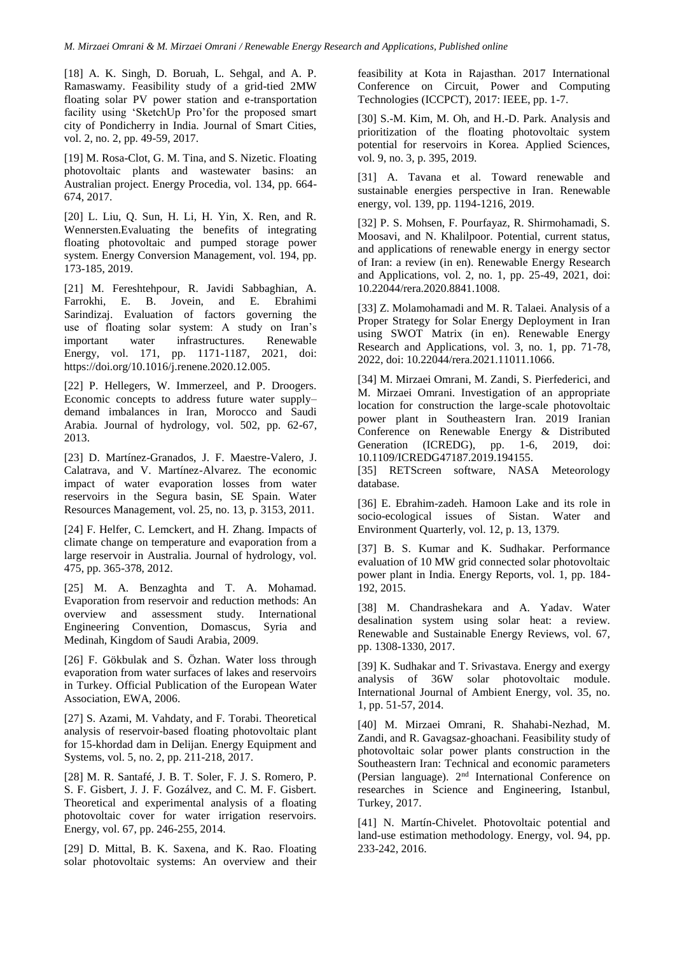[18] A. K. Singh, D. Boruah, L. Sehgal, and A. P. Ramaswamy. Feasibility study of a grid-tied 2MW floating solar PV power station and e-transportation facility using 'SketchUp Pro'for the proposed smart city of Pondicherry in India. Journal of Smart Cities, vol. 2, no. 2, pp. 49-59, 2017.

[19] M. Rosa-Clot, G. M. Tina, and S. Nizetic. Floating photovoltaic plants and wastewater basins: an Australian project. Energy Procedia, vol. 134, pp. 664- 674, 2017.

[20] L. Liu, Q. Sun, H. Li, H. Yin, X. Ren, and R. Wennersten.Evaluating the benefits of integrating floating photovoltaic and pumped storage power system. Energy Conversion Management, vol. 194, pp. 173-185, 2019.

[21] M. Fereshtehpour, R. Javidi Sabbaghian, A. Farrokhi, E. B. Jovein, and E. Ebrahimi Sarindizaj. Evaluation of factors governing the use of floating solar system: A study on Iran's important water infrastructures. Renewable Energy, vol. 171, pp. 1171-1187, 2021, doi: [https://doi.org/10.1016/j.renene.2020.12.005.](https://doi.org/10.1016/j.renene.2020.12.005)

[22] P. Hellegers, W. Immerzeel, and P. Droogers. Economic concepts to address future water supply– demand imbalances in Iran, Morocco and Saudi Arabia. Journal of hydrology, vol. 502, pp. 62-67, 2013.

[23] D. Martínez-Granados, J. F. Maestre-Valero, J. Calatrava, and V. Martínez-Alvarez. The economic impact of water evaporation losses from water reservoirs in the Segura basin, SE Spain. Water Resources Management, vol. 25, no. 13, p. 3153, 2011.

[24] F. Helfer, C. Lemckert, and H. Zhang. Impacts of climate change on temperature and evaporation from a large reservoir in Australia. Journal of hydrology, vol. 475, pp. 365-378, 2012.

[25] M. A. Benzaghta and T. A. Mohamad. Evaporation from reservoir and reduction methods: An overview and assessment study. International overview and assessment study. International Engineering Convention, Domascus, Syria and Medinah, Kingdom of Saudi Arabia, 2009.

[26] F. Gökbulak and S. Özhan. Water loss through evaporation from water surfaces of lakes and reservoirs in Turkey. Official Publication of the European Water Association, EWA, 2006.

[27] S. Azami, M. Vahdaty, and F. Torabi. Theoretical analysis of reservoir-based floating photovoltaic plant for 15-khordad dam in Delijan. Energy Equipment and Systems, vol. 5, no. 2, pp. 211-218, 2017.

[28] M. R. Santafé, J. B. T. Soler, F. J. S. Romero, P. S. F. Gisbert, J. J. F. Gozálvez, and C. M. F. Gisbert. Theoretical and experimental analysis of a floating photovoltaic cover for water irrigation reservoirs. Energy, vol. 67, pp. 246-255, 2014.

[29] D. Mittal, B. K. Saxena, and K. Rao. Floating solar photovoltaic systems: An overview and their feasibility at Kota in Rajasthan. 2017 International Conference on Circuit, Power and Computing Technologies (ICCPCT), 2017: IEEE, pp. 1-7.

[30] S.-M. Kim, M. Oh, and H.-D. Park. Analysis and prioritization of the floating photovoltaic system potential for reservoirs in Korea. Applied Sciences, vol. 9, no. 3, p. 395, 2019.

[31] A. Tavana et al. Toward renewable and sustainable energies perspective in Iran. Renewable energy, vol. 139, pp. 1194-1216, 2019.

[32] P. S. Mohsen, F. Pourfayaz, R. Shirmohamadi, S. Moosavi, and N. Khalilpoor. Potential, current status, and applications of renewable energy in energy sector of Iran: a review (in en). Renewable Energy Research and Applications, vol. 2, no. 1, pp. 25-49, 2021, doi: 10.22044/rera.2020.8841.1008.

[33] Z. Molamohamadi and M. R. Talaei. Analysis of a Proper Strategy for Solar Energy Deployment in Iran using SWOT Matrix (in en). Renewable Energy Research and Applications, vol. 3, no. 1, pp. 71-78, 2022, doi: 10.22044/rera.2021.11011.1066.

[34] M. Mirzaei Omrani, M. Zandi, S. Pierfederici, and M. Mirzaei Omrani. Investigation of an appropriate location for construction the large-scale photovoltaic power plant in Southeastern Iran. 2019 Iranian Conference on Renewable Energy & Distributed Generation (ICREDG), pp. 1-6, 2019, doi: 10.1109/ICREDG47187.2019.194155.

[35] RETScreen software, NASA Meteorology database.

[36] E. Ebrahim-zadeh. Hamoon Lake and its role in socio-ecological issues of Sistan. Water and Environment Quarterly, vol. 12, p. 13, 1379.

[37] B. S. Kumar and K. Sudhakar. Performance evaluation of 10 MW grid connected solar photovoltaic power plant in India. Energy Reports, vol. 1, pp. 184- 192, 2015.

[38] M. Chandrashekara and A. Yadav. Water desalination system using solar heat: a review. Renewable and Sustainable Energy Reviews, vol. 67, pp. 1308-1330, 2017.

[39] K. Sudhakar and T. Srivastava. Energy and exergy analysis of 36W solar photovoltaic module. International Journal of Ambient Energy, vol. 35, no. 1, pp. 51-57, 2014.

[40] M. Mirzaei Omrani, R. Shahabi-Nezhad, M. Zandi, and R. Gavagsaz-ghoachani. Feasibility study of photovoltaic solar power plants construction in the Southeastern Iran: Technical and economic parameters (Persian language). 2nd International Conference on researches in Science and Engineering, Istanbul, Turkey, 2017.

[41] N. Martín-Chivelet. Photovoltaic potential and land-use estimation methodology. Energy, vol. 94, pp. 233-242, 2016.